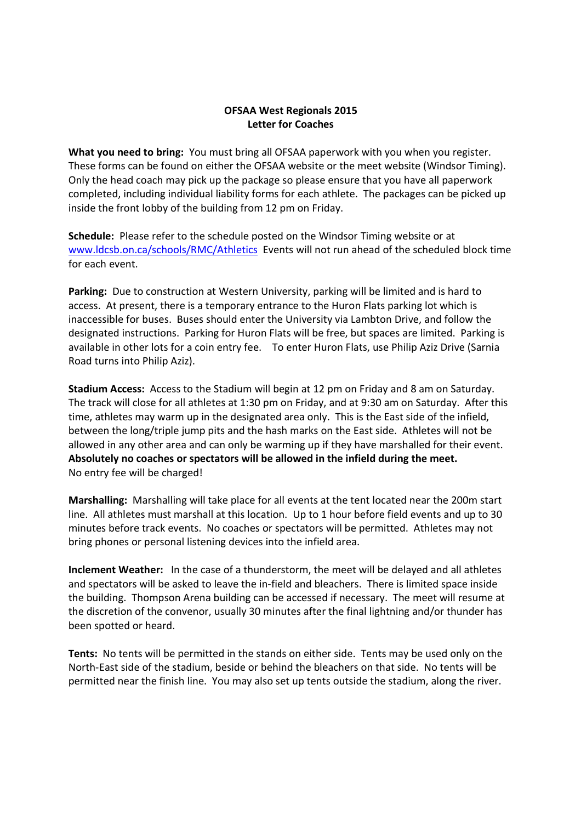## **OFSAA West Regionals 2015 Letter for Coaches**

**What you need to bring:** You must bring all OFSAA paperwork with you when you register. These forms can be found on either the OFSAA website or the meet website (Windsor Timing). Only the head coach may pick up the package so please ensure that you have all paperwork completed, including individual liability forms for each athlete. The packages can be picked up inside the front lobby of the building from 12 pm on Friday.

**Schedule:** Please refer to the schedule posted on the Windsor Timing website or at www.ldcsb.on.ca/schools/RMC/Athletics Events will not run ahead of the scheduled block time for each event.

**Parking:** Due to construction at Western University, parking will be limited and is hard to access. At present, there is a temporary entrance to the Huron Flats parking lot which is inaccessible for buses. Buses should enter the University via Lambton Drive, and follow the designated instructions. Parking for Huron Flats will be free, but spaces are limited. Parking is available in other lots for a coin entry fee. To enter Huron Flats, use Philip Aziz Drive (Sarnia Road turns into Philip Aziz).

**Stadium Access:** Access to the Stadium will begin at 12 pm on Friday and 8 am on Saturday. The track will close for all athletes at 1:30 pm on Friday, and at 9:30 am on Saturday. After this time, athletes may warm up in the designated area only. This is the East side of the infield, between the long/triple jump pits and the hash marks on the East side. Athletes will not be allowed in any other area and can only be warming up if they have marshalled for their event. **Absolutely no coaches or spectators will be allowed in the infield during the meet.** No entry fee will be charged!

**Marshalling:** Marshalling will take place for all events at the tent located near the 200m start line. All athletes must marshall at this location. Up to 1 hour before field events and up to 30 minutes before track events. No coaches or spectators will be permitted. Athletes may not bring phones or personal listening devices into the infield area.

**Inclement Weather:** In the case of a thunderstorm, the meet will be delayed and all athletes and spectators will be asked to leave the in-field and bleachers. There is limited space inside the building. Thompson Arena building can be accessed if necessary. The meet will resume at the discretion of the convenor, usually 30 minutes after the final lightning and/or thunder has been spotted or heard.

**Tents:** No tents will be permitted in the stands on either side. Tents may be used only on the North-East side of the stadium, beside or behind the bleachers on that side. No tents will be permitted near the finish line. You may also set up tents outside the stadium, along the river.